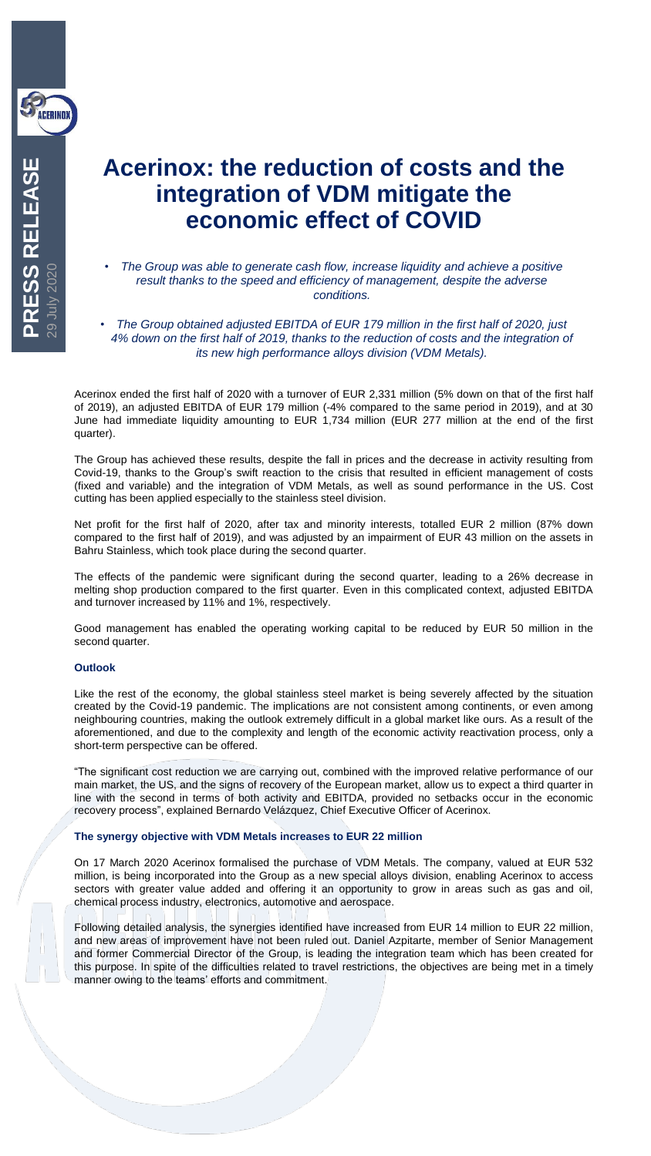

**PRESS RELEASE**

29 July 2020

# **Acerinox: the reduction of costs and the integration of VDM mitigate the economic effect of COVID**

- *The Group was able to generate cash flow, increase liquidity and achieve a positive result thanks to the speed and efficiency of management, despite the adverse conditions.*
- *The Group obtained adjusted EBITDA of EUR 179 million in the first half of 2020, just 4% down on the first half of 2019, thanks to the reduction of costs and the integration of its new high performance alloys division (VDM Metals).*

Acerinox ended the first half of 2020 with a turnover of EUR 2,331 million (5% down on that of the first half of 2019), an adjusted EBITDA of EUR 179 million (-4% compared to the same period in 2019), and at 30 June had immediate liquidity amounting to EUR 1,734 million (EUR 277 million at the end of the first quarter).

The Group has achieved these results, despite the fall in prices and the decrease in activity resulting from Covid-19, thanks to the Group's swift reaction to the crisis that resulted in efficient management of costs (fixed and variable) and the integration of VDM Metals, as well as sound performance in the US. Cost cutting has been applied especially to the stainless steel division.

Net profit for the first half of 2020, after tax and minority interests, totalled EUR 2 million (87% down compared to the first half of 2019), and was adjusted by an impairment of EUR 43 million on the assets in Bahru Stainless, which took place during the second quarter.

The effects of the pandemic were significant during the second quarter, leading to a 26% decrease in melting shop production compared to the first quarter. Even in this complicated context, adjusted EBITDA and turnover increased by 11% and 1%, respectively.

Good management has enabled the operating working capital to be reduced by EUR 50 million in the second quarter.

## **Outlook**

Like the rest of the economy, the global stainless steel market is being severely affected by the situation created by the Covid-19 pandemic. The implications are not consistent among continents, or even among neighbouring countries, making the outlook extremely difficult in a global market like ours. As a result of the aforementioned, and due to the complexity and length of the economic activity reactivation process, only a short-term perspective can be offered.

"The significant cost reduction we are carrying out, combined with the improved relative performance of our main market, the US, and the signs of recovery of the European market, allow us to expect a third quarter in line with the second in terms of both activity and EBITDA, provided no setbacks occur in the economic recovery process", explained Bernardo Velázquez, Chief Executive Officer of Acerinox.

## **The synergy objective with VDM Metals increases to EUR 22 million**

On 17 March 2020 Acerinox formalised the purchase of VDM Metals. The company, valued at EUR 532 million, is being incorporated into the Group as a new special alloys division, enabling Acerinox to access sectors with greater value added and offering it an opportunity to grow in areas such as gas and oil, chemical process industry, electronics, automotive and aerospace.

Following detailed analysis, the synergies identified have increased from EUR 14 million to EUR 22 million, and new areas of improvement have not been ruled out. Daniel Azpitarte, member of Senior Management and former Commercial Director of the Group, is leading the integration team which has been created for this purpose. In spite of the difficulties related to travel restrictions, the objectives are being met in a timely manner owing to the teams' efforts and commitment.